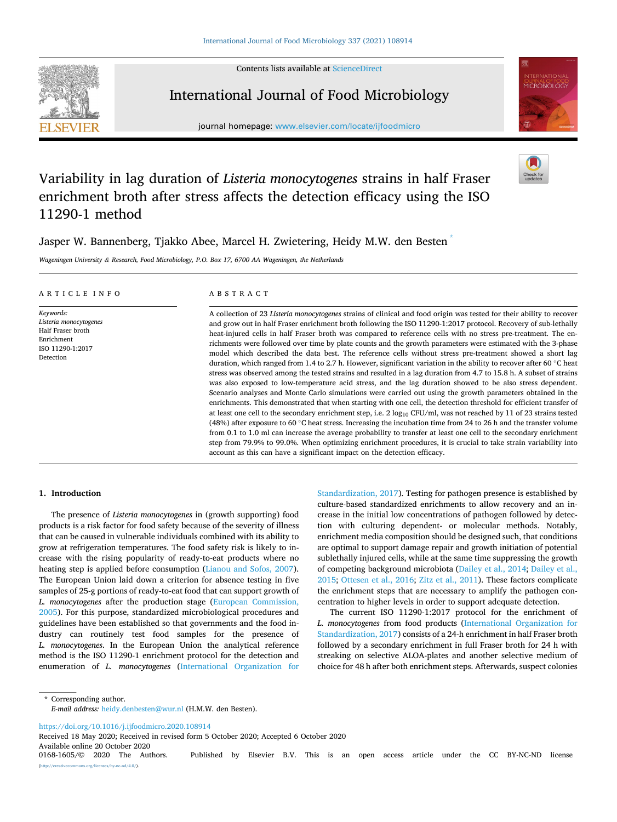Contents lists available at [ScienceDirect](www.sciencedirect.com/science/journal/01681605)



International Journal of Food Microbiology

journal homepage: [www.elsevier.com/locate/ijfoodmicro](https://www.elsevier.com/locate/ijfoodmicro)



# Variability in lag duration of *Listeria monocytogenes* strains in half Fraser enrichment broth after stress affects the detection efficacy using the ISO 11290-1 method

Jasper W. Bannenberg, Tjakko Abee, Marcel H. Zwietering, Heidy M.W. den Besten \*

*Wageningen University & Research, Food Microbiology, P.O. Box 17, 6700 AA Wageningen, the Netherlands* 

| ARTICLE INFO                                                                                            | ABSTRACT                                                                                                                                                                                                                                                                                                                                                                                                                                                                                                                                                                                                                                                                                                                                                                                                                                                                                                                                                                                                                                                                                                                                                                                                                                                                                                                                                                                                                                                                                                                                                            |
|---------------------------------------------------------------------------------------------------------|---------------------------------------------------------------------------------------------------------------------------------------------------------------------------------------------------------------------------------------------------------------------------------------------------------------------------------------------------------------------------------------------------------------------------------------------------------------------------------------------------------------------------------------------------------------------------------------------------------------------------------------------------------------------------------------------------------------------------------------------------------------------------------------------------------------------------------------------------------------------------------------------------------------------------------------------------------------------------------------------------------------------------------------------------------------------------------------------------------------------------------------------------------------------------------------------------------------------------------------------------------------------------------------------------------------------------------------------------------------------------------------------------------------------------------------------------------------------------------------------------------------------------------------------------------------------|
| Keywords:<br>Listeria monocytogenes<br>Half Fraser broth<br>Enrichment<br>ISO 11290-1:2017<br>Detection | A collection of 23 Listeria monocytogenes strains of clinical and food origin was tested for their ability to recover<br>and grow out in half Fraser enrichment broth following the ISO 11290-1:2017 protocol. Recovery of sub-lethally<br>heat-injured cells in half Fraser broth was compared to reference cells with no stress pre-treatment. The en-<br>richments were followed over time by plate counts and the growth parameters were estimated with the 3-phase<br>model which described the data best. The reference cells without stress pre-treatment showed a short lag<br>duration, which ranged from 1.4 to 2.7 h. However, significant variation in the ability to recover after 60 $\degree$ C heat<br>stress was observed among the tested strains and resulted in a lag duration from 4.7 to 15.8 h. A subset of strains<br>was also exposed to low-temperature acid stress, and the lag duration showed to be also stress dependent.<br>Scenario analyses and Monte Carlo simulations were carried out using the growth parameters obtained in the<br>enrichments. This demonstrated that when starting with one cell, the detection threshold for efficient transfer of<br>at least one cell to the secondary enrichment step, i.e. $2 \log_{10} CFU/ml$ , was not reached by 11 of 23 strains tested<br>(48%) after exposure to 60 °C heat stress. Increasing the incubation time from 24 to 26 h and the transfer volume<br>from 0.1 to 1.0 ml can increase the average probability to transfer at least one cell to the secondary enrichment |

step from 79.9% to 99.0%. When optimizing enrichment procedures, it is crucial to take strain variability into account as this can have a significant impact on the detection efficacy.

## **1. Introduction**

The presence of *Listeria monocytogenes* in (growth supporting) food products is a risk factor for food safety because of the severity of illness that can be caused in vulnerable individuals combined with its ability to grow at refrigeration temperatures. The food safety risk is likely to increase with the rising popularity of ready-to-eat products where no heating step is applied before consumption ([Lianou and Sofos, 2007](#page-7-0)). The European Union laid down a criterion for absence testing in five samples of 25-g portions of ready-to-eat food that can support growth of *L. monocytogenes* after the production stage ([European Commission,](#page-7-0)  [2005\)](#page-7-0). For this purpose, standardized microbiological procedures and guidelines have been established so that governments and the food industry can routinely test food samples for the presence of *L. monocytogenes*. In the European Union the analytical reference method is the ISO 11290-1 enrichment protocol for the detection and enumeration of *L. monocytogenes* [\(International Organization for](#page-7-0)  [Standardization, 2017\)](#page-7-0). Testing for pathogen presence is established by culture-based standardized enrichments to allow recovery and an increase in the initial low concentrations of pathogen followed by detection with culturing dependent- or molecular methods. Notably, enrichment media composition should be designed such, that conditions are optimal to support damage repair and growth initiation of potential sublethally injured cells, while at the same time suppressing the growth of competing background microbiota [\(Dailey et al., 2014](#page-6-0); [Dailey et al.,](#page-7-0)  [2015; Ottesen et al., 2016;](#page-7-0) [Zitz et al., 2011\)](#page-7-0). These factors complicate the enrichment steps that are necessary to amplify the pathogen concentration to higher levels in order to support adequate detection.

The current ISO 11290-1:2017 protocol for the enrichment of *L. monocytogenes* from food products [\(International Organization for](#page-7-0)  [Standardization, 2017](#page-7-0)) consists of a 24-h enrichment in half Fraser broth followed by a secondary enrichment in full Fraser broth for 24 h with streaking on selective ALOA-plates and another selective medium of choice for 48 h after both enrichment steps. Afterwards, suspect colonies

\* Corresponding author. *E-mail address:* [heidy.denbesten@wur.nl](mailto:heidy.denbesten@wur.nl) (H.M.W. den Besten).

<https://doi.org/10.1016/j.ijfoodmicro.2020.108914>

Available online 20 October 2020<br>0168-1605/© 2020 The Authors. Received 18 May 2020; Received in revised form 5 October 2020; Accepted 6 October 2020

Published by Elsevier B.V. This is an open access article under the CC BY-NC-ND license (a).org/licenses/by-nc-nd/4.0/).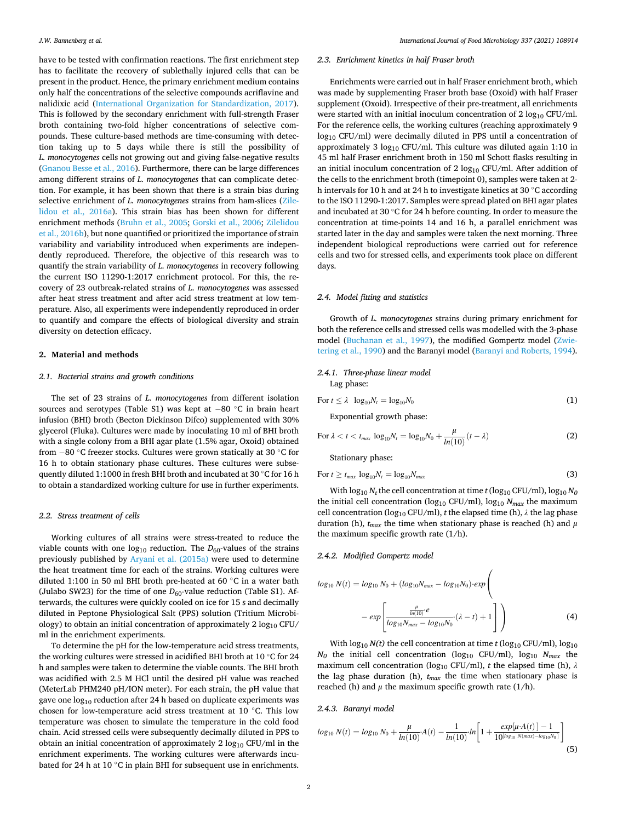have to be tested with confirmation reactions. The first enrichment step has to facilitate the recovery of sublethally injured cells that can be present in the product. Hence, the primary enrichment medium contains only half the concentrations of the selective compounds acriflavine and nalidixic acid [\(International Organization for Standardization, 2017](#page-7-0)). This is followed by the secondary enrichment with full-strength Fraser broth containing two-fold higher concentrations of selective compounds. These culture-based methods are time-consuming with detection taking up to 5 days while there is still the possibility of *L. monocytogenes* cells not growing out and giving false-negative results ([Gnanou Besse et al., 2016](#page-7-0)). Furthermore, there can be large differences among different strains of *L. monocytogenes* that can complicate detection. For example, it has been shown that there is a strain bias during selective enrichment of *L. monocytogenes* strains from ham-slices ([Zile](#page-7-0)[lidou et al., 2016a](#page-7-0)). This strain bias has been shown for different enrichment methods [\(Bruhn et al., 2005](#page-6-0); [Gorski et al., 2006](#page-7-0); [Zilelidou](#page-7-0)  [et al., 2016b\)](#page-7-0), but none quantified or prioritized the importance of strain variability and variability introduced when experiments are independently reproduced. Therefore, the objective of this research was to quantify the strain variability of *L. monocytogenes* in recovery following the current ISO 11290-1:2017 enrichment protocol. For this, the recovery of 23 outbreak-related strains of *L. monocytogenes* was assessed after heat stress treatment and after acid stress treatment at low temperature. Also, all experiments were independently reproduced in order to quantify and compare the effects of biological diversity and strain diversity on detection efficacy.

#### **2. Material and methods**

## *2.1. Bacterial strains and growth conditions*

The set of 23 strains of *L. monocytogenes* from different isolation sources and serotypes (Table S1) was kept at − 80 ◦C in brain heart infusion (BHI) broth (Becton Dickinson Difco) supplemented with 30% glycerol (Fluka). Cultures were made by inoculating 10 ml of BHI broth with a single colony from a BHI agar plate (1.5% agar, Oxoid) obtained from − 80 ◦C freezer stocks. Cultures were grown statically at 30 ◦C for 16 h to obtain stationary phase cultures. These cultures were subsequently diluted 1:1000 in fresh BHI broth and incubated at 30 ◦C for 16 h to obtain a standardized working culture for use in further experiments.

#### *2.2. Stress treatment of cells*

Working cultures of all strains were stress-treated to reduce the viable counts with one  $log_{10}$  reduction. The  $D_{60}$ -values of the strains previously published by [Aryani et al. \(2015a\)](#page-6-0) were used to determine the heat treatment time for each of the strains. Working cultures were diluted 1:100 in 50 ml BHI broth pre-heated at 60 ◦C in a water bath (Julabo SW23) for the time of one  $D_{60}$ -value reduction (Table S1). Afterwards, the cultures were quickly cooled on ice for 15 s and decimally diluted in Peptone Physiological Salt (PPS) solution (Tritium Microbiology) to obtain an initial concentration of approximately  $2 \log_{10}$  CFU/ ml in the enrichment experiments.

To determine the pH for the low-temperature acid stress treatments, the working cultures were stressed in acidified BHI broth at 10 ◦C for 24 h and samples were taken to determine the viable counts. The BHI broth was acidified with 2.5 M HCl until the desired pH value was reached (MeterLab PHM240 pH/ION meter). For each strain, the pH value that gave one  $log_{10}$  reduction after 24 h based on duplicate experiments was chosen for low-temperature acid stress treatment at 10 ◦C. This low temperature was chosen to simulate the temperature in the cold food chain. Acid stressed cells were subsequently decimally diluted in PPS to obtain an initial concentration of approximately  $2 \log_{10} CFU/ml$  in the enrichment experiments. The working cultures were afterwards incubated for 24 h at 10 ℃ in plain BHI for subsequent use in enrichments.

## *2.3. Enrichment kinetics in half Fraser broth*

Enrichments were carried out in half Fraser enrichment broth, which was made by supplementing Fraser broth base (Oxoid) with half Fraser supplement (Oxoid). Irrespective of their pre-treatment, all enrichments were started with an initial inoculum concentration of  $2 \log_{10} CFU/ml$ . For the reference cells, the working cultures (reaching approximately 9 log10 CFU/ml) were decimally diluted in PPS until a concentration of approximately 3  $log_{10}$  CFU/ml. This culture was diluted again 1:10 in 45 ml half Fraser enrichment broth in 150 ml Schott flasks resulting in an initial inoculum concentration of 2  $log_{10}$  CFU/ml. After addition of the cells to the enrichment broth (timepoint 0), samples were taken at 2 h intervals for 10 h and at 24 h to investigate kinetics at 30 ◦C according to the ISO 11290-1:2017. Samples were spread plated on BHI agar plates and incubated at 30 ◦C for 24 h before counting. In order to measure the concentration at time-points 14 and 16 h, a parallel enrichment was started later in the day and samples were taken the next morning. Three independent biological reproductions were carried out for reference cells and two for stressed cells, and experiments took place on different days.

## *2.4. Model fitting and statistics*

Growth of *L. monocytogenes* strains during primary enrichment for both the reference cells and stressed cells was modelled with the 3-phase model ([Buchanan et al., 1997\)](#page-6-0), the modified Gompertz model ([Zwie](#page-7-0)[tering et al., 1990](#page-7-0)) and the Baranyi model ([Baranyi and Roberts, 1994](#page-6-0)).

## *2.4.1. Three-phase linear model*  Lag phase:

$$
\text{For } t \leq \lambda \quad \log_{10} N_t = \log_{10} N_0 \tag{1}
$$

Exponential growth phase:

For 
$$
\lambda < t < t_{max} \log_{10} N_t = \log_{10} N_0 + \frac{\mu}{\ln(10)} (t - \lambda)
$$
 (2)

Stationary phase:

$$
\text{For } t \geq t_{\text{max}} \log_{10} N_t = \log_{10} N_{\text{max}} \tag{3}
$$

With  $\log_{10} N_t$  the cell concentration at time  $t$  (log<sub>10</sub> CFU/ml),  $\log_{10} N_0$ the initial cell concentration ( $log_{10}$  CFU/ml),  $log_{10} N_{max}$  the maximum cell concentration (log<sub>10</sub> CFU/ml), *t* the elapsed time (h),  $\lambda$  the lag phase duration (h), *tmax* the time when stationary phase is reached (h) and *μ*  the maximum specific growth rate (1/h).

#### *2.4.2. Modified Gompertz model*

$$
log_{10} N(t) = log_{10} N_0 + (log_{10} N_{max} - log_{10} N_0) \cdot exp\left(-\frac{\mu}{log_{10} N_{max} - log_{10} N_0} \cdot (\lambda - t) + 1\right)
$$
\n(4)

 $\overline{\phantom{a}}$ 

With  $log_{10} N(t)$  the cell concentration at time *t* ( $log_{10} CFU/ml$ ),  $log_{10}$  $N_0$  the initial cell concentration (log<sub>10</sub> CFU/ml), log<sub>10</sub>  $N_{max}$  the maximum cell concentration (log10 CFU/ml), *t* the elapsed time (h), *λ*  the lag phase duration (h), *tmax* the time when stationary phase is reached (h) and  $\mu$  the maximum specific growth rate (1/h).

## *2.4.3. Baranyi model*

$$
log_{10} N(t) = log_{10} N_0 + \frac{\mu}{\ln(10)} A(t) - \frac{1}{\ln(10)} \ln \left[ 1 + \frac{exp[\mu \cdot A(t)] - 1}{10^{\left[ log_{10} N (max) - log_{10} N_0 \right]}} \right]
$$
(5)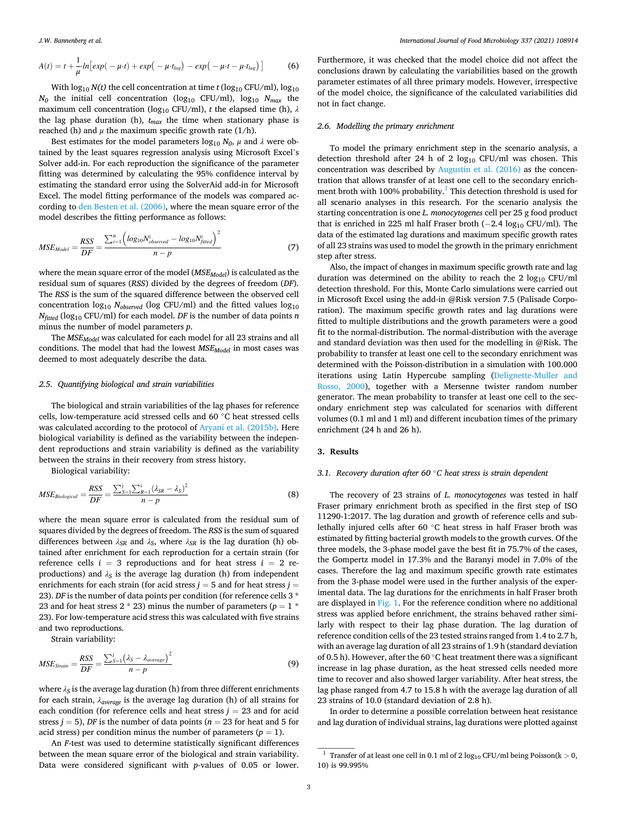<span id="page-2-0"></span>
$$
A(t) = t + \frac{1}{\mu} \ln \left[ exp(-\mu \cdot t) + exp(-\mu \cdot t_{lag}) - exp(-\mu \cdot t - \mu \cdot t_{lag}) \right]
$$
 (6)

With  $\log_{10} N(t)$  the cell concentration at time *t* ( $\log_{10} CFU/ml$ ),  $\log_{10}$  $N_0$  the initial cell concentration (log<sub>10</sub> CFU/ml), log<sub>10</sub>  $N_{max}$  the maximum cell concentration ( $log_{10}$  CFU/ml), *t* the elapsed time (h),  $\lambda$ the lag phase duration (h),  $t_{max}$  the time when stationary phase is reached (h) and  $\mu$  the maximum specific growth rate (1/h).

Best estimates for the model parameters  $\log_{10} N_0$ ,  $\mu$  and  $\lambda$  were obtained by the least squares regression analysis using Microsoft Excel's Solver add-in. For each reproduction the significance of the parameter fitting was determined by calculating the 95% confidence interval by estimating the standard error using the SolverAid add-in for Microsoft Excel. The model fitting performance of the models was compared according to [den Besten et al. \(2006\),](#page-7-0) where the mean square error of the model describes the fitting performance as follows:

$$
MSE_{Model} = \frac{RSS}{DF} = \frac{\sum_{i=1}^{n} \left( log_{10} N_{observed}^{i} - log_{10} N_{fitted}^{i} \right)^{2}}{n-p}
$$
(7)

where the mean square error of the model (*MSE<sub>Model</sub>*) is calculated as the residual sum of squares (*RSS*) divided by the degrees of freedom (*DF*). The *RSS* is the sum of the squared difference between the observed cell concentration  $log_{10} N_{observed}$  (log CFU/ml) and the fitted values  $log_{10}$ *Nfitted* (log10 CFU/ml) for each model. *DF* is the number of data points *n*  minus the number of model parameters *p*.

The *MSEModel* was calculated for each model for all 23 strains and all conditions. The model that had the lowest  $MSE_{Model}$  in most cases was deemed to most adequately describe the data.

## *2.5. Quantifying biological and strain variabilities*

The biological and strain variabilities of the lag phases for reference cells, low-temperature acid stressed cells and 60 ◦C heat stressed cells was calculated according to the protocol of [Aryani et al. \(2015b\)](#page-6-0). Here biological variability is defined as the variability between the independent reproductions and strain variability is defined as the variability between the strains in their recovery from stress history.

Biological variability:

$$
MSE_{Biological} = \frac{RSS}{DF} = \frac{\sum_{S=1}^{j} \sum_{R=1}^{i} (\lambda_{SR} - \lambda_S)^2}{n - p}
$$
(8)

where the mean square error is calculated from the residual sum of squares divided by the degrees of freedom. The *RSS* is the sum of squared differences between *λSR* and *λS*, where *λSR* is the lag duration (h) obtained after enrichment for each reproduction for a certain strain (for reference cells  $i = 3$  reproductions and for heat stress  $i = 2$  reproductions) and  $\lambda_S$  is the average lag duration (h) from independent enrichments for each strain (for acid stress  $j = 5$  and for heat stress  $j =$ 23). *DF* is the number of data points per condition (for reference cells 3  $^{\ast}$ 23 and for heat stress 2  $*$  23) minus the number of parameters ( $p = 1$  $*$ 23). For low-temperature acid stress this was calculated with five strains and two reproductions.

Strain variability:

$$
MSE_{Strain} = \frac{RSS}{DF} = \frac{\sum_{S=1}^{j} (\lambda_S - \lambda_{average})^2}{n - p}
$$
(9)

where  $\lambda_S$  is the average lag duration (h) from three different enrichments for each strain, *λaverage* is the average lag duration (h) of all strains for each condition (for reference cells and heat stress  $j = 23$  and for acid stress  $j = 5$ ), *DF* is the number of data points ( $n = 23$  for heat and 5 for acid stress) per condition minus the number of parameters  $(p = 1)$ .

An *F*-test was used to determine statistically significant differences between the mean square error of the biological and strain variability. Data were considered significant with *p-*values of 0.05 or lower.

Furthermore, it was checked that the model choice did not affect the conclusions drawn by calculating the variabilities based on the growth parameter estimates of all three primary models. However, irrespective of the model choice, the significance of the calculated variabilities did not in fact change.

## *2.6. Modelling the primary enrichment*

To model the primary enrichment step in the scenario analysis, a detection threshold after 24 h of 2  $log_{10}$  CFU/ml was chosen. This concentration was described by [Augustin et al. \(2016\)](#page-6-0) as the concentration that allows transfer of at least one cell to the secondary enrichment broth with 100% probability.<sup>1</sup> This detection threshold is used for all scenario analyses in this research. For the scenario analysis the starting concentration is one *L. monocytogenes* cell per 25 g food product that is enriched in 225 ml half Fraser broth  $(-2.4 \log_{10} CFU/ml)$ . The data of the estimated lag durations and maximum specific growth rates of all 23 strains was used to model the growth in the primary enrichment step after stress.

Also, the impact of changes in maximum specific growth rate and lag duration was determined on the ability to reach the 2  $log_{10}$  CFU/ml detection threshold. For this, Monte Carlo simulations were carried out in Microsoft Excel using the add-in @Risk version 7.5 (Palisade Corporation). The maximum specific growth rates and lag durations were fitted to multiple distributions and the growth parameters were a good fit to the normal-distribution. The normal-distribution with the average and standard deviation was then used for the modelling in @Risk. The probability to transfer at least one cell to the secondary enrichment was determined with the Poisson-distribution in a simulation with 100.000 iterations using Latin Hypercube sampling [\(Delignette-Muller and](#page-7-0)  [Rosso, 2000](#page-7-0)), together with a Mersenne twister random number generator. The mean probability to transfer at least one cell to the secondary enrichment step was calculated for scenarios with different volumes (0.1 ml and 1 ml) and different incubation times of the primary enrichment (24 h and 26 h).

#### **3. Results**

#### *3.1. Recovery duration after 60* ◦*C heat stress is strain dependent*

The recovery of 23 strains of *L. monocytogenes* was tested in half Fraser primary enrichment broth as specified in the first step of ISO 11290-1:2017. The lag duration and growth of reference cells and sublethally injured cells after 60 ◦C heat stress in half Fraser broth was estimated by fitting bacterial growth models to the growth curves. Of the three models, the 3-phase model gave the best fit in 75.7% of the cases, the Gompertz model in 17.3% and the Baranyi model in 7.0% of the cases. Therefore the lag and maximum specific growth rate estimates from the 3-phase model were used in the further analysis of the experimental data. The lag durations for the enrichments in half Fraser broth are displayed in [Fig. 1.](#page-3-0) For the reference condition where no additional stress was applied before enrichment, the strains behaved rather similarly with respect to their lag phase duration. The lag duration of reference condition cells of the 23 tested strains ranged from 1.4 to 2.7 h, with an average lag duration of all 23 strains of 1.9 h (standard deviation of 0.5 h). However, after the 60 ◦C heat treatment there was a significant increase in lag phase duration, as the heat stressed cells needed more time to recover and also showed larger variability. After heat stress, the lag phase ranged from 4.7 to 15.8 h with the average lag duration of all 23 strains of 10.0 (standard deviation of 2.8 h).

In order to determine a possible correlation between heat resistance and lag duration of individual strains, lag durations were plotted against

<sup>&</sup>lt;sup>1</sup> Transfer of at least one cell in 0.1 ml of 2  $log_{10}$  CFU/ml being Poisson(k > 0, 10) is 99.995%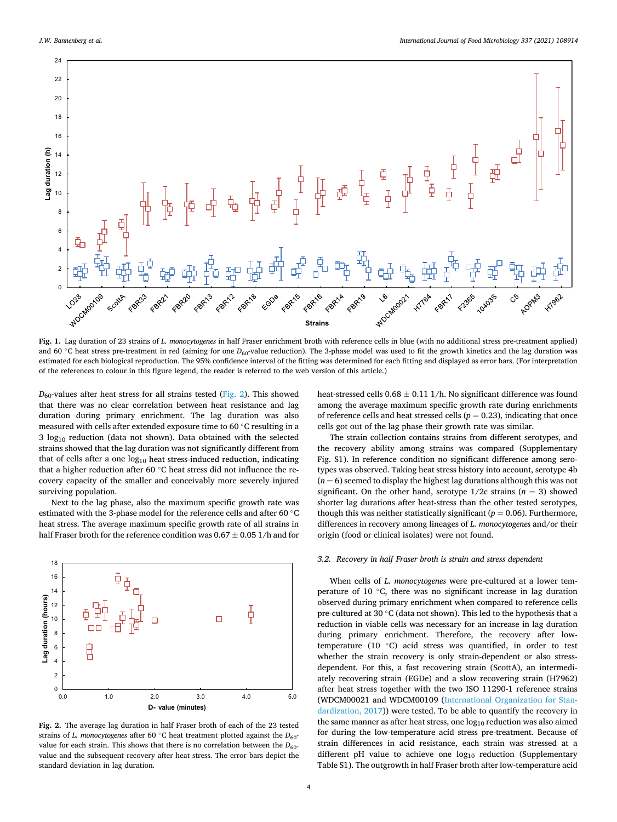<span id="page-3-0"></span>

**Fig. 1.** Lag duration of 23 strains of *L. monocytogenes* in half Fraser enrichment broth with reference cells in blue (with no additional stress pre-treatment applied) and 60 ℃ heat stress pre-treatment in red (aiming for one *D*<sub>60</sub>-value reduction). The 3-phase model was used to fit the growth kinetics and the lag duration was estimated for each biological reproduction. The 95% confidence interval of the fitting was determined for each fitting and displayed as error bars. (For interpretation of the references to colour in this figure legend, the reader is referred to the web version of this article.)

 $D_{60}$ -values after heat stress for all strains tested (Fig. 2). This showed that there was no clear correlation between heat resistance and lag duration during primary enrichment. The lag duration was also measured with cells after extended exposure time to 60 ◦C resulting in a  $3 \log_{10}$  reduction (data not shown). Data obtained with the selected strains showed that the lag duration was not significantly different from that of cells after a one  $log_{10}$  heat stress-induced reduction, indicating that a higher reduction after 60 ◦C heat stress did not influence the recovery capacity of the smaller and conceivably more severely injured surviving population.

Next to the lag phase, also the maximum specific growth rate was estimated with the 3-phase model for the reference cells and after 60 ℃ heat stress. The average maximum specific growth rate of all strains in half Fraser broth for the reference condition was 0.67  $\pm$  0.05 1/h and for



**Fig. 2.** The average lag duration in half Fraser broth of each of the 23 tested strains of *L. monocytogenes* after 60  $\degree$ C heat treatment plotted against the  $D_{60}$ value for each strain. This shows that there is no correlation between the  $D_{60}$ value and the subsequent recovery after heat stress. The error bars depict the standard deviation in lag duration.

heat-stressed cells  $0.68 \pm 0.11$  1/h. No significant difference was found among the average maximum specific growth rate during enrichments of reference cells and heat stressed cells  $(p = 0.23)$ , indicating that once cells got out of the lag phase their growth rate was similar.

The strain collection contains strains from different serotypes, and the recovery ability among strains was compared (Supplementary Fig. S1). In reference condition no significant difference among serotypes was observed. Taking heat stress history into account, serotype 4b  $(n = 6)$  seemed to display the highest lag durations although this was not significant. On the other hand, serotype  $1/2c$  strains  $(n = 3)$  showed shorter lag durations after heat-stress than the other tested serotypes, though this was neither statistically significant  $(p = 0.06)$ . Furthermore, differences in recovery among lineages of *L. monocytogenes* and/or their origin (food or clinical isolates) were not found.

## *3.2. Recovery in half Fraser broth is strain and stress dependent*

When cells of *L. monocytogenes* were pre-cultured at a lower temperature of 10 ◦C, there was no significant increase in lag duration observed during primary enrichment when compared to reference cells pre-cultured at 30 ◦C (data not shown). This led to the hypothesis that a reduction in viable cells was necessary for an increase in lag duration during primary enrichment. Therefore, the recovery after lowtemperature (10 ◦C) acid stress was quantified, in order to test whether the strain recovery is only strain-dependent or also stressdependent. For this, a fast recovering strain (ScottA), an intermediately recovering strain (EGDe) and a slow recovering strain (H7962) after heat stress together with the two ISO 11290-1 reference strains (WDCM00021 and WDCM00109 [\(International Organization for Stan](#page-7-0)[dardization, 2017\)](#page-7-0)) were tested. To be able to quantify the recovery in the same manner as after heat stress, one  $log_{10}$  reduction was also aimed for during the low-temperature acid stress pre-treatment. Because of strain differences in acid resistance, each strain was stressed at a different pH value to achieve one log<sub>10</sub> reduction (Supplementary Table S1). The outgrowth in half Fraser broth after low-temperature acid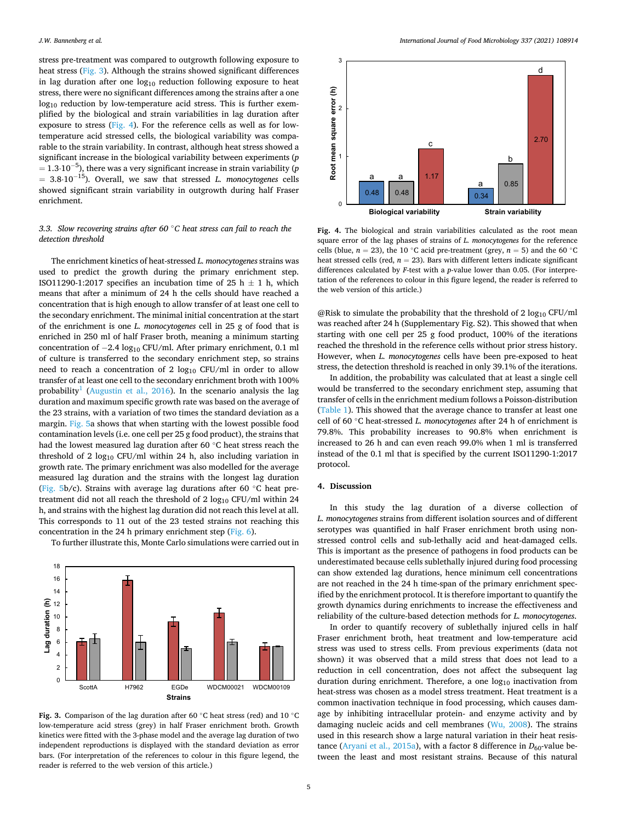stress pre-treatment was compared to outgrowth following exposure to heat stress (Fig. 3). Although the strains showed significant differences in lag duration after one  $log_{10}$  reduction following exposure to heat stress, there were no significant differences among the strains after a one log<sub>10</sub> reduction by low-temperature acid stress. This is further exemplified by the biological and strain variabilities in lag duration after exposure to stress (Fig. 4). For the reference cells as well as for lowtemperature acid stressed cells, the biological variability was comparable to the strain variability. In contrast, although heat stress showed a significant increase in the biological variability between experiments (*p*   $= 1.3\!\cdot\!10^{-5}$ ), there was a very significant increase in strain variability ( $p$ = 3.8⋅10<sup>−</sup> 15). Overall, we saw that stressed *L. monocytogenes* cells showed significant strain variability in outgrowth during half Fraser enrichment.

# *3.3. Slow recovering strains after 60* ◦*C heat stress can fail to reach the detection threshold*

The enrichment kinetics of heat-stressed *L. monocytogenes* strains was used to predict the growth during the primary enrichment step. ISO11290-1:2017 specifies an incubation time of 25 h  $\pm$  1 h, which means that after a minimum of 24 h the cells should have reached a concentration that is high enough to allow transfer of at least one cell to the secondary enrichment. The minimal initial concentration at the start of the enrichment is one *L. monocytogenes* cell in 25 g of food that is enriched in 250 ml of half Fraser broth, meaning a minimum starting concentration of  $-2.4 \log_{10}$  CFU/ml. After primary enrichment, 0.1 ml of culture is transferred to the secondary enrichment step, so strains need to reach a concentration of 2  $log_{10}$  CFU/ml in order to allow transfer of at least one cell to the secondary enrichment broth with 100% probability<sup>1</sup> ([Augustin et al., 2016](#page-6-0)). In the scenario analysis the lag duration and maximum specific growth rate was based on the average of the 23 strains, with a variation of two times the standard deviation as a margin. [Fig. 5](#page-5-0)a shows that when starting with the lowest possible food contamination levels (i.e. one cell per 25 g food product), the strains that had the lowest measured lag duration after 60 ◦C heat stress reach the threshold of 2  $log_{10}$  CFU/ml within 24 h, also including variation in growth rate. The primary enrichment was also modelled for the average measured lag duration and the strains with the longest lag duration ([Fig. 5b](#page-5-0)**/**c). Strains with average lag durations after 60 ◦C heat pretreatment did not all reach the threshold of  $2 \log_{10} CFU/ml$  within  $24$ h, and strains with the highest lag duration did not reach this level at all. This corresponds to 11 out of the 23 tested strains not reaching this concentration in the 24 h primary enrichment step ([Fig. 6\)](#page-5-0).



To further illustrate this, Monte Carlo simulations were carried out in

**Fig. 3.** Comparison of the lag duration after 60 ◦C heat stress (red) and 10 ◦C low-temperature acid stress (grey) in half Fraser enrichment broth. Growth kinetics were fitted with the 3-phase model and the average lag duration of two independent reproductions is displayed with the standard deviation as error bars. (For interpretation of the references to colour in this figure legend, the reader is referred to the web version of this article.)



**Fig. 4.** The biological and strain variabilities calculated as the root mean square error of the lag phases of strains of *L. monocytogenes* for the reference cells (blue,  $n = 23$ ), the 10 °C acid pre-treatment (grey,  $n = 5$ ) and the 60 °C heat stressed cells (red,  $n = 23$ ). Bars with different letters indicate significant differences calculated by *F*-test with a *p*-value lower than 0.05. (For interpretation of the references to colour in this figure legend, the reader is referred to the web version of this article.)

@Risk to simulate the probability that the threshold of 2  $log_{10}$  CFU/ml was reached after 24 h (Supplementary Fig. S2). This showed that when starting with one cell per 25 g food product, 100% of the iterations reached the threshold in the reference cells without prior stress history. However, when *L. monocytogenes* cells have been pre-exposed to heat stress, the detection threshold is reached in only 39.1% of the iterations.

In addition, the probability was calculated that at least a single cell would be transferred to the secondary enrichment step, assuming that transfer of cells in the enrichment medium follows a Poisson-distribution ([Table 1](#page-5-0)). This showed that the average chance to transfer at least one cell of 60 ◦C heat-stressed *L. monocytogenes* after 24 h of enrichment is 79.8%. This probability increases to 90.8% when enrichment is increased to 26 h and can even reach 99.0% when 1 ml is transferred instead of the 0.1 ml that is specified by the current ISO11290-1:2017 protocol.

#### **4. Discussion**

In this study the lag duration of a diverse collection of *L. monocytogenes* strains from different isolation sources and of different serotypes was quantified in half Fraser enrichment broth using nonstressed control cells and sub-lethally acid and heat-damaged cells. This is important as the presence of pathogens in food products can be underestimated because cells sublethally injured during food processing can show extended lag durations, hence minimum cell concentrations are not reached in the 24 h time-span of the primary enrichment specified by the enrichment protocol. It is therefore important to quantify the growth dynamics during enrichments to increase the effectiveness and reliability of the culture-based detection methods for *L. monocytogenes*.

In order to quantify recovery of sublethally injured cells in half Fraser enrichment broth, heat treatment and low-temperature acid stress was used to stress cells. From previous experiments (data not shown) it was observed that a mild stress that does not lead to a reduction in cell concentration, does not affect the subsequent lag duration during enrichment. Therefore, a one log<sub>10</sub> inactivation from heat-stress was chosen as a model stress treatment. Heat treatment is a common inactivation technique in food processing, which causes damage by inhibiting intracellular protein- and enzyme activity and by damaging nucleic acids and cell membranes ([Wu, 2008](#page-7-0)). The strains used in this research show a large natural variation in their heat resis-tance ([Aryani et al., 2015a](#page-6-0)), with a factor 8 difference in  $D_{60}$ -value between the least and most resistant strains. Because of this natural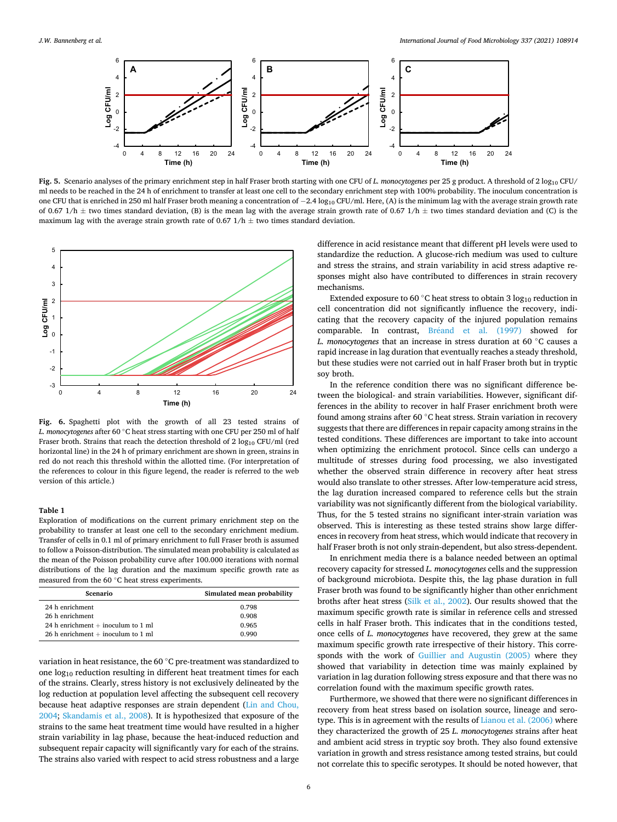<span id="page-5-0"></span>

Fig. 5. Scenario analyses of the primary enrichment step in half Fraser broth starting with one CFU of *L. monocytogenes* per 25 g product. A threshold of 2 log<sub>10</sub> CFU/ ml needs to be reached in the 24 h of enrichment to transfer at least one cell to the secondary enrichment step with 100% probability. The inoculum concentration is one CFU that is enriched in 250 ml half Fraser broth meaning a concentration of −2.4 log<sub>10</sub> CFU/ml. Here, (A) is the minimum lag with the average strain growth rate of 0.67 1/h  $\pm$  two times standard deviation, (B) is the mean lag with the average strain growth rate of 0.67 1/h  $\pm$  two times standard deviation and (C) is the maximum lag with the average strain growth rate of 0.67  $1/h \pm$  two times standard deviation.



**Fig. 6.** Spaghetti plot with the growth of all 23 tested strains of *L. monocytogenes* after 60 ◦C heat stress starting with one CFU per 250 ml of half Fraser broth. Strains that reach the detection threshold of 2  $log_{10}$  CFU/ml (red horizontal line) in the 24 h of primary enrichment are shown in green, strains in red do not reach this threshold within the allotted time. (For interpretation of the references to colour in this figure legend, the reader is referred to the web version of this article.)

## **Table 1**

Exploration of modifications on the current primary enrichment step on the probability to transfer at least one cell to the secondary enrichment medium. Transfer of cells in 0.1 ml of primary enrichment to full Fraser broth is assumed to follow a Poisson-distribution. The simulated mean probability is calculated as the mean of the Poisson probability curve after 100.000 iterations with normal distributions of the lag duration and the maximum specific growth rate as measured from the 60 ◦C heat stress experiments.

| Scenario                             | Simulated mean probability |
|--------------------------------------|----------------------------|
| 24 h enrichment                      | 0.798                      |
| 26 h enrichment                      | 0.908                      |
| 24 h enrichment $+$ inoculum to 1 ml | 0.965                      |
| 26 h enrichment $+$ inoculum to 1 ml | 0.990                      |

variation in heat resistance, the 60 ◦C pre-treatment was standardized to one log10 reduction resulting in different heat treatment times for each of the strains. Clearly, stress history is not exclusively delineated by the log reduction at population level affecting the subsequent cell recovery because heat adaptive responses are strain dependent [\(Lin and Chou,](#page-7-0)  [2004;](#page-7-0) [Skandamis et al., 2008\)](#page-7-0). It is hypothesized that exposure of the strains to the same heat treatment time would have resulted in a higher strain variability in lag phase, because the heat-induced reduction and subsequent repair capacity will significantly vary for each of the strains. The strains also varied with respect to acid stress robustness and a large

difference in acid resistance meant that different pH levels were used to standardize the reduction. A glucose-rich medium was used to culture and stress the strains, and strain variability in acid stress adaptive responses might also have contributed to differences in strain recovery mechanisms.

Extended exposure to 60  $^{\circ}$ C heat stress to obtain 3 log<sub>10</sub> reduction in cell concentration did not significantly influence the recovery, indicating that the recovery capacity of the injured population remains comparable. In contrast, Bréand et al. (1997) showed for *L. monocytogenes* that an increase in stress duration at 60 ◦C causes a rapid increase in lag duration that eventually reaches a steady threshold, but these studies were not carried out in half Fraser broth but in tryptic soy broth.

In the reference condition there was no significant difference between the biological- and strain variabilities. However, significant differences in the ability to recover in half Fraser enrichment broth were found among strains after 60 ◦C heat stress. Strain variation in recovery suggests that there are differences in repair capacity among strains in the tested conditions. These differences are important to take into account when optimizing the enrichment protocol. Since cells can undergo a multitude of stresses during food processing, we also investigated whether the observed strain difference in recovery after heat stress would also translate to other stresses. After low-temperature acid stress, the lag duration increased compared to reference cells but the strain variability was not significantly different from the biological variability. Thus, for the 5 tested strains no significant inter-strain variation was observed. This is interesting as these tested strains show large differences in recovery from heat stress, which would indicate that recovery in half Fraser broth is not only strain-dependent, but also stress-dependent.

In enrichment media there is a balance needed between an optimal recovery capacity for stressed *L. monocytogenes* cells and the suppression of background microbiota. Despite this, the lag phase duration in full Fraser broth was found to be significantly higher than other enrichment broths after heat stress ([Silk et al., 2002](#page-7-0)). Our results showed that the maximum specific growth rate is similar in reference cells and stressed cells in half Fraser broth. This indicates that in the conditions tested, once cells of *L. monocytogenes* have recovered, they grew at the same maximum specific growth rate irrespective of their history. This corresponds with the work of [Guillier and Augustin \(2005\)](#page-7-0) where they showed that variability in detection time was mainly explained by variation in lag duration following stress exposure and that there was no correlation found with the maximum specific growth rates.

Furthermore, we showed that there were no significant differences in recovery from heat stress based on isolation source, lineage and serotype. This is in agreement with the results of [Lianou et al. \(2006\)](#page-7-0) where they characterized the growth of 25 *L. monocytogenes* strains after heat and ambient acid stress in tryptic soy broth. They also found extensive variation in growth and stress resistance among tested strains, but could not correlate this to specific serotypes. It should be noted however, that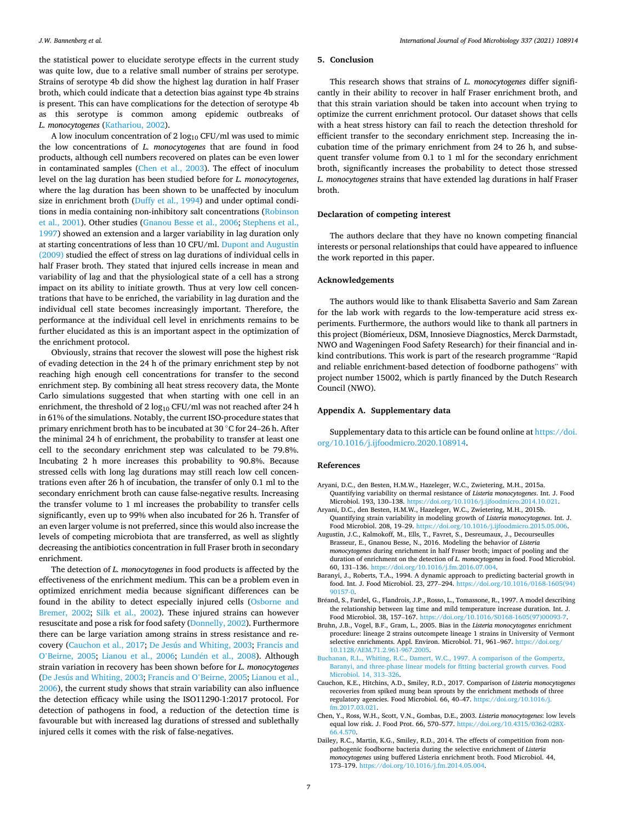#### <span id="page-6-0"></span>*J.W. Bannenberg et al.*

the statistical power to elucidate serotype effects in the current study was quite low, due to a relative small number of strains per serotype. Strains of serotype 4b did show the highest lag duration in half Fraser broth, which could indicate that a detection bias against type 4b strains is present. This can have complications for the detection of serotype 4b as this serotype is common among epidemic outbreaks of *L. monocytogenes* ([Kathariou, 2002](#page-7-0)).

A low inoculum concentration of  $2 \log_{10} CFU/ml$  was used to mimic the low concentrations of *L. monocytogenes* that are found in food products, although cell numbers recovered on plates can be even lower in contaminated samples (Chen et al., 2003). The effect of inoculum level on the lag duration has been studied before for *L. monocytogenes*, where the lag duration has been shown to be unaffected by inoculum size in enrichment broth [\(Duffy et al., 1994\)](#page-7-0) and under optimal conditions in media containing non-inhibitory salt concentrations ([Robinson](#page-7-0)  [et al., 2001](#page-7-0)). Other studies [\(Gnanou Besse et al., 2006](#page-7-0); [Stephens et al.,](#page-7-0)  [1997\)](#page-7-0) showed an extension and a larger variability in lag duration only at starting concentrations of less than 10 CFU/ml. [Dupont and Augustin](#page-7-0)  [\(2009\)](#page-7-0) studied the effect of stress on lag durations of individual cells in half Fraser broth. They stated that injured cells increase in mean and variability of lag and that the physiological state of a cell has a strong impact on its ability to initiate growth. Thus at very low cell concentrations that have to be enriched, the variability in lag duration and the individual cell state becomes increasingly important. Therefore, the performance at the individual cell level in enrichments remains to be further elucidated as this is an important aspect in the optimization of the enrichment protocol.

Obviously, strains that recover the slowest will pose the highest risk of evading detection in the 24 h of the primary enrichment step by not reaching high enough cell concentrations for transfer to the second enrichment step. By combining all heat stress recovery data, the Monte Carlo simulations suggested that when starting with one cell in an enrichment, the threshold of  $2\log_{10} \mathrm{CFU}/\mathrm{ml}$  was not reached after  $24$  h in 61% of the simulations. Notably, the current ISO-procedure states that primary enrichment broth has to be incubated at 30 ◦C for 24–26 h. After the minimal 24 h of enrichment, the probability to transfer at least one cell to the secondary enrichment step was calculated to be 79.8%. Incubating 2 h more increases this probability to 90.8%. Because stressed cells with long lag durations may still reach low cell concentrations even after 26 h of incubation, the transfer of only 0.1 ml to the secondary enrichment broth can cause false-negative results. Increasing the transfer volume to 1 ml increases the probability to transfer cells significantly, even up to 99% when also incubated for 26 h. Transfer of an even larger volume is not preferred, since this would also increase the levels of competing microbiota that are transferred, as well as slightly decreasing the antibiotics concentration in full Fraser broth in secondary enrichment.

The detection of *L. monocytogenes* in food products is affected by the effectiveness of the enrichment medium. This can be a problem even in optimized enrichment media because significant differences can be found in the ability to detect especially injured cells [\(Osborne and](#page-7-0)  [Bremer, 2002](#page-7-0); [Silk et al., 2002](#page-7-0)). These injured strains can however resuscitate and pose a risk for food safety ([Donnelly, 2002](#page-7-0)). Furthermore there can be large variation among strains in stress resistance and recovery (Cauchon et al., 2017; [De Jesús and Whiting, 2003](#page-7-0); [Francis and](#page-7-0)  O'[Beirne, 2005;](#page-7-0) [Lianou et al., 2006;](#page-7-0) Lundén et al., 2008). Although strain variation in recovery has been shown before for *L. monocytogenes*  ([De Jesús and Whiting, 2003](#page-7-0); [Francis and O](#page-7-0)'Beirne, 2005; [Lianou et al.,](#page-7-0)  [2006\)](#page-7-0), the current study shows that strain variability can also influence the detection efficacy while using the ISO11290-1:2017 protocol. For detection of pathogens in food, a reduction of the detection time is favourable but with increased lag durations of stressed and sublethally injured cells it comes with the risk of false-negatives.

## **5. Conclusion**

This research shows that strains of *L. monocytogenes* differ significantly in their ability to recover in half Fraser enrichment broth, and that this strain variation should be taken into account when trying to optimize the current enrichment protocol. Our dataset shows that cells with a heat stress history can fail to reach the detection threshold for efficient transfer to the secondary enrichment step. Increasing the incubation time of the primary enrichment from 24 to 26 h, and subsequent transfer volume from 0.1 to 1 ml for the secondary enrichment broth, significantly increases the probability to detect those stressed *L. monocytogenes* strains that have extended lag durations in half Fraser broth.

## **Declaration of competing interest**

The authors declare that they have no known competing financial interests or personal relationships that could have appeared to influence the work reported in this paper.

## **Acknowledgements**

The authors would like to thank Elisabetta Saverio and Sam Zarean for the lab work with regards to the low-temperature acid stress experiments. Furthermore, the authors would like to thank all partners in this project (Biomérieux, DSM, Innosieve Diagnostics, Merck Darmstadt, NWO and Wageningen Food Safety Research) for their financial and inkind contributions. This work is part of the research programme "Rapid and reliable enrichment-based detection of foodborne pathogens" with project number 15002, which is partly financed by the Dutch Research Council (NWO).

#### **Appendix A. Supplementary data**

Supplementary data to this article can be found online at [https://doi.](https://doi.org/10.1016/j.ijfoodmicro.2020.108914)  [org/10.1016/j.ijfoodmicro.2020.108914.](https://doi.org/10.1016/j.ijfoodmicro.2020.108914)

#### **References**

- Aryani, D.C., den Besten, H.M.W., Hazeleger, W.C., Zwietering, M.H., 2015a. Quantifying variability on thermal resistance of *Listeria monocytogenes*. Int. J. Food Microbiol. 193, 130–138. [https://doi.org/10.1016/j.ijfoodmicro.2014.10.021.](https://doi.org/10.1016/j.ijfoodmicro.2014.10.021)
- Aryani, D.C., den Besten, H.M.W., Hazeleger, W.C., Zwietering, M.H., 2015b. Quantifying strain variability in modeling growth of *Listeria monocytogenes*. Int. J. Food Microbiol. 208, 19–29. [https://doi.org/10.1016/j.ijfoodmicro.2015.05.006.](https://doi.org/10.1016/j.ijfoodmicro.2015.05.006)
- Augustin, J.C., Kalmokoff, M., Ells, T., Favret, S., Desreumaux, J., Decourseulles Brasseur, E., Gnanou Besse, N., 2016. Modeling the behavior of *Listeria monocytogenes* during enrichment in half Fraser broth; impact of pooling and the duration of enrichment on the detection of *L. monocytogenes* in food. Food Microbiol. 60, 131–136. [https://doi.org/10.1016/j.fm.2016.07.004.](https://doi.org/10.1016/j.fm.2016.07.004)
- Baranyi, J., Roberts, T.A., 1994. A dynamic approach to predicting bacterial growth in food. Int. J. Food Microbiol. 23, 277–294. [https://doi.org/10.1016/0168-1605\(94\)](https://doi.org/10.1016/0168-1605(94)90157-0) [90157-0](https://doi.org/10.1016/0168-1605(94)90157-0).
- Bréand, S., Fardel, G., Flandrois, J.P., Rosso, L., Tomassone, R., 1997. A model describing the relationship between lag time and mild temperature increase duration. Int. J. Food Microbiol. 38, 157–167. [https://doi.org/10.1016/S0168-1605\(97\)00093-7](https://doi.org/10.1016/S0168-1605(97)00093-7).
- Bruhn, J.B., Vogel, B.F., Gram, L., 2005. Bias in the *Listeria monocytogenes* enrichment procedure: lineage 2 strains outcompete lineage 1 strains in University of Vermont selective enrichments. Appl. Environ. Microbiol. 71, 961–967. [https://doi.org/](https://doi.org/10.1128/AEM.71.2.961-967.2005) [10.1128/AEM.71.2.961-967.2005](https://doi.org/10.1128/AEM.71.2.961-967.2005).
- [Buchanan, R.L., Whiting, R.C., Damert, W.C., 1997. A comparison of the Gompertz,](http://refhub.elsevier.com/S0168-1605(20)30408-6/rf0035) [Baranyi, and three-phase linear models for fitting bacterial growth curves. Food](http://refhub.elsevier.com/S0168-1605(20)30408-6/rf0035)  [Microbiol. 14, 313](http://refhub.elsevier.com/S0168-1605(20)30408-6/rf0035)–326.
- Cauchon, K.E., Hitchins, A.D., Smiley, R.D., 2017. Comparison of *Listeria monocytogenes*  recoveries from spiked mung bean sprouts by the enrichment methods of three regulatory agencies. Food Microbiol. 66, 40–47. [https://doi.org/10.1016/j.](https://doi.org/10.1016/j.fm.2017.03.021) [fm.2017.03.021.](https://doi.org/10.1016/j.fm.2017.03.021)
- Chen, Y., Ross, W.H., Scott, V.N., Gombas, D.E., 2003. *Listeria monocytogenes*: low levels equal low risk. J. Food Prot. 66, 570–577. [https://doi.org/10.4315/0362-028X-](https://doi.org/10.4315/0362-028X-66.4.570)[66.4.570.](https://doi.org/10.4315/0362-028X-66.4.570)
- Dailey, R.C., Martin, K.G., Smiley, R.D., 2014. The effects of competition from nonpathogenic foodborne bacteria during the selective enrichment of *Listeria monocytogenes* using buffered Listeria enrichment broth. Food Microbiol. 44, 173–179. [https://doi.org/10.1016/j.fm.2014.05.004.](https://doi.org/10.1016/j.fm.2014.05.004)